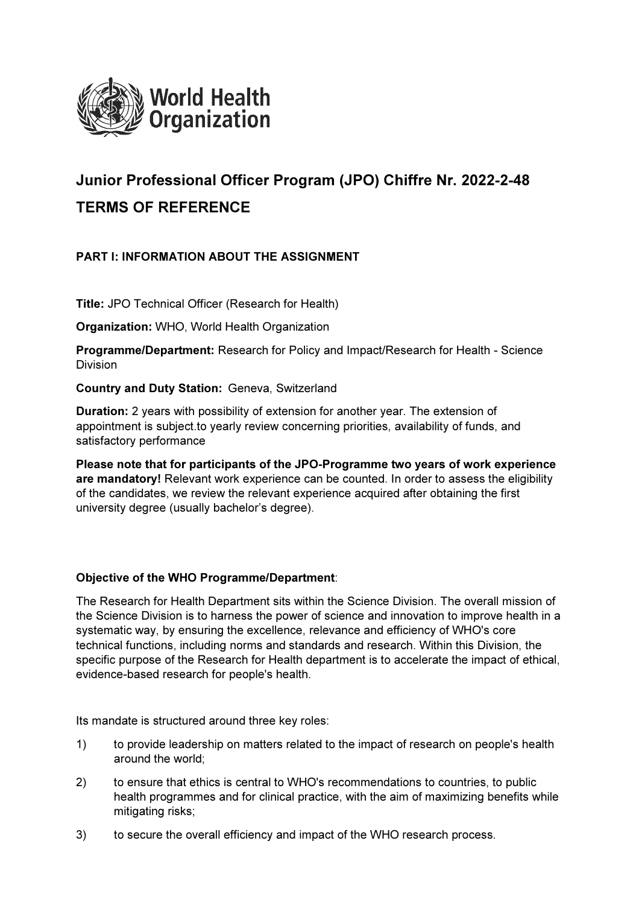

# Junior Professional Officer Program (JPO) Chiffre Nr. 2022-2-48 TERMS OF REFERENCE

# PART I: INFORMATION ABOUT THE ASSIGNMENT

Title: JPO Technical Officer (Research for Health)

Organization: WHO, World Health Organization

Programme/Department: Research for Policy and Impact/Research for Health - Science Division

Country and Duty Station: Geneva, Switzerland

Duration: 2 years with possibility of extension for another year. The extension of appointment is subject.to yearly review concerning priorities, availability of funds, and satisfactory performance

Please note that for participants of the JPO-Programme two years of work experience are mandatory! Relevant work experience can be counted. In order to assess the eligibility of the candidates, we review the relevant experience acquired after obtaining the first university degree (usually bachelor's degree).

## Objective of the WHO Programme/Department:

The Research for Health Department sits within the Science Division. The overall mission of the Science Division is to harness the power of science and innovation to improve health in a systematic way, by ensuring the excellence, relevance and efficiency of WHO's core technical functions, including norms and standards and research. Within this Division, the specific purpose of the Research for Health department is to accelerate the impact of ethical, evidence-based research for people's health.

Its mandate is structured around three key roles:

- 1) to provide leadership on matters related to the impact of research on people's health around the world;
- 2) to ensure that ethics is central to WHO's recommendations to countries, to public health programmes and for clinical practice, with the aim of maximizing benefits while mitigating risks;
- 3) to secure the overall efficiency and impact of the WHO research process.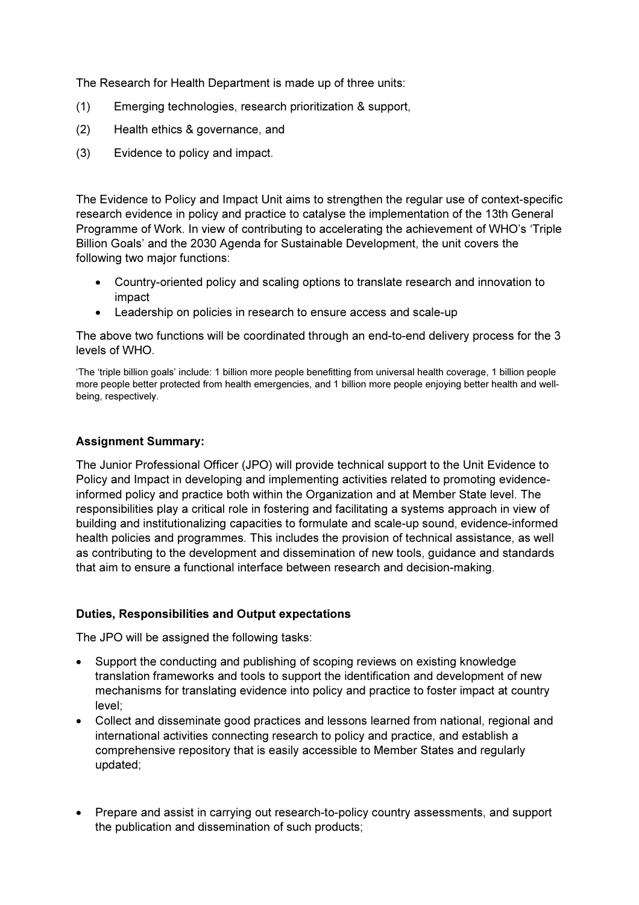The Research for Health Department is made up of three units:

- (1) Emerging technologies, research prioritization & support,
- (2) Health ethics & governance, and
- (3) Evidence to policy and impact.

The Evidence to Policy and Impact Unit aims to strengthen the regular use of context-specific research evidence in policy and practice to catalyse the implementation of the 13th General Programme of Work. In view of contributing to accelerating the achievement of WHO's 'Triple Billion Goals' and the 2030 Agenda for Sustainable Development, the unit covers the following two major functions:

- Country-oriented policy and scaling options to translate research and innovation to impact
- Leadership on policies in research to ensure access and scale-up

The above two functions will be coordinated through an end-to-end delivery process for the 3 levels of WHO.

'The 'triple billion goals' include: 1 billion more people benefitting from universal health coverage, 1 billion people more people better protected from health emergencies, and 1 billion more people enjoying better health and wellbeing, respectively.

## Assignment Summary:

The Junior Professional Officer (JPO) will provide technical support to the Unit Evidence to Policy and Impact in developing and implementing activities related to promoting evidenceinformed policy and practice both within the Organization and at Member State level. The responsibilities play a critical role in fostering and facilitating a systems approach in view of building and institutionalizing capacities to formulate and scale-up sound, evidence-informed health policies and programmes. This includes the provision of technical assistance, as well as contributing to the development and dissemination of new tools, guidance and standards that aim to ensure a functional interface between research and decision-making.

## Duties, Responsibilities and Output expectations

The JPO will be assigned the following tasks:

- Support the conducting and publishing of scoping reviews on existing knowledge translation frameworks and tools to support the identification and development of new mechanisms for translating evidence into policy and practice to foster impact at country level;
- Collect and disseminate good practices and lessons learned from national, regional and international activities connecting research to policy and practice, and establish a comprehensive repository that is easily accessible to Member States and regularly updated;
- Prepare and assist in carrying out research-to-policy country assessments, and support the publication and dissemination of such products;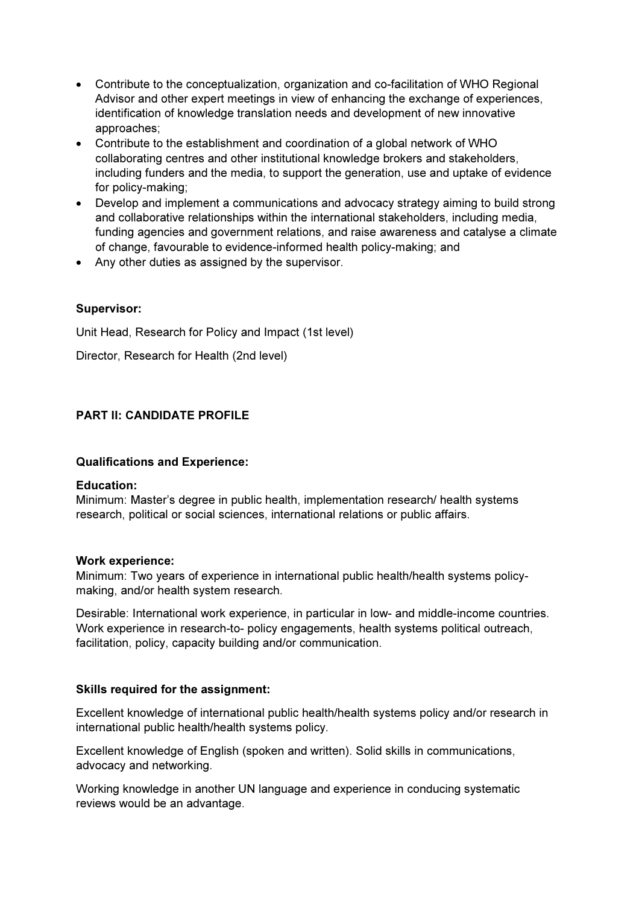- Contribute to the conceptualization, organization and co-facilitation of WHO Regional Advisor and other expert meetings in view of enhancing the exchange of experiences, identification of knowledge translation needs and development of new innovative approaches;
- Contribute to the establishment and coordination of a global network of WHO collaborating centres and other institutional knowledge brokers and stakeholders, including funders and the media, to support the generation, use and uptake of evidence for policy-making;
- Develop and implement a communications and advocacy strategy aiming to build strong and collaborative relationships within the international stakeholders, including media, funding agencies and government relations, and raise awareness and catalyse a climate of change, favourable to evidence-informed health policy-making; and
- Any other duties as assigned by the supervisor.

# Supervisor:

Unit Head, Research for Policy and Impact (1st level)

Director, Research for Health (2nd level)

# PART II: CANDIDATE PROFILE

## Qualifications and Experience:

#### Education:

Minimum: Master's degree in public health, implementation research/ health systems research, political or social sciences, international relations or public affairs.

#### Work experience:

Minimum: Two years of experience in international public health/health systems policymaking, and/or health system research.

Desirable: International work experience, in particular in low- and middle-income countries. Work experience in research-to- policy engagements, health systems political outreach, facilitation, policy, capacity building and/or communication.

## Skills required for the assignment:

Excellent knowledge of international public health/health systems policy and/or research in international public health/health systems policy.

Excellent knowledge of English (spoken and written). Solid skills in communications, advocacy and networking.

Working knowledge in another UN language and experience in conducing systematic reviews would be an advantage.